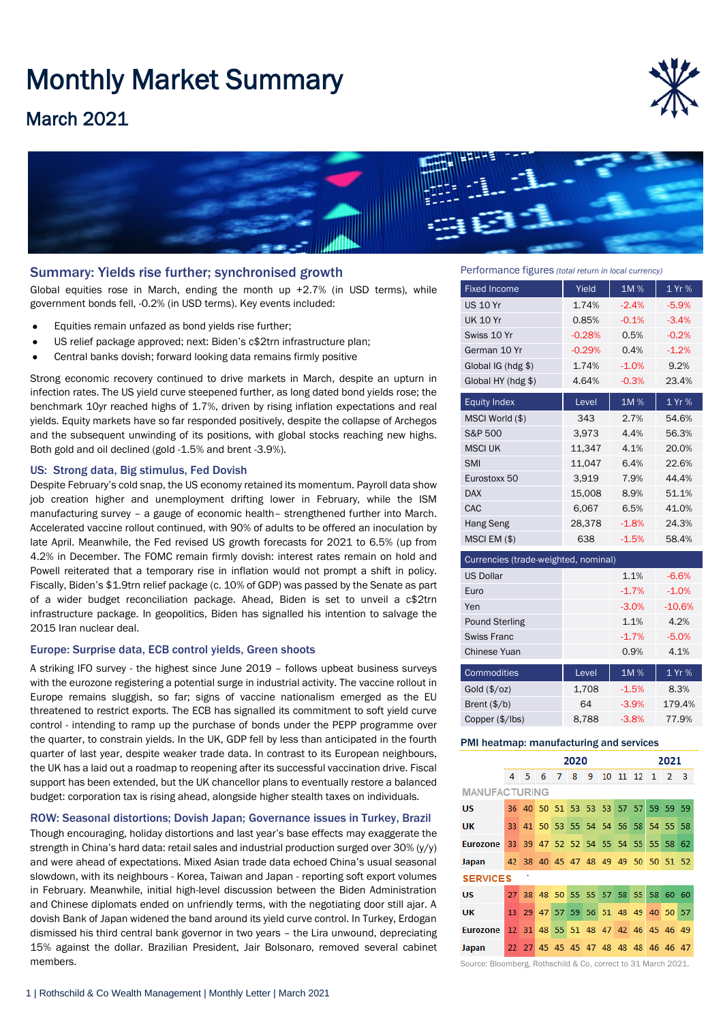# Monthly Market Summary

## March 2021





#### Summary: Yields rise further; synchronised growth

Global equities rose in March, ending the month up +2.7% (in USD terms), while government bonds fell, -0.2% (in USD terms). Key events included:

- Equities remain unfazed as bond yields rise further;
- US relief package approved; next: Biden's c\$2trn infrastructure plan;
- Central banks dovish; forward looking data remains firmly positive

Strong economic recovery continued to drive markets in March, despite an upturn in infection rates. The US yield curve steepened further, as long dated bond yields rose; the benchmark 10yr reached highs of 1.7%, driven by rising inflation expectations and real yields. Equity markets have so far responded positively, despite the collapse of Archegos and the subsequent unwinding of its positions, with global stocks reaching new highs. Both gold and oil declined (gold -1.5% and brent -3.9%).

#### US: Strong data, Big stimulus, Fed Dovish

Despite February's cold snap, the US economy retained its momentum. Payroll data show job creation higher and unemployment drifting lower in February, while the ISM manufacturing survey – a gauge of economic health– strengthened further into March. Accelerated vaccine rollout continued, with 90% of adults to be offered an inoculation by late April. Meanwhile, the Fed revised US growth forecasts for 2021 to 6.5% (up from 4.2% in December. The FOMC remain firmly dovish: interest rates remain on hold and Powell reiterated that a temporary rise in inflation would not prompt a shift in policy. Fiscally, Biden's \$1.9trn relief package (c. 10% of GDP) was passed by the Senate as part of a wider budget reconciliation package. Ahead, Biden is set to unveil a c\$2trn infrastructure package. In geopolitics, Biden has signalled his intention to salvage the 2015 Iran nuclear deal.

#### Europe: Surprise data, ECB control yields, Green shoots

A striking IFO survey - the highest since June 2019 – follows upbeat business surveys with the eurozone registering a potential surge in industrial activity. The vaccine rollout in Europe remains sluggish, so far; signs of vaccine nationalism emerged as the EU threatened to restrict exports. The ECB has signalled its commitment to soft yield curve control - intending to ramp up the purchase of bonds under the PEPP programme over the quarter, to constrain yields. In the UK, GDP fell by less than anticipated in the fourth quarter of last year, despite weaker trade data. In contrast to its European neighbours, the UK has a laid out a roadmap to reopening after its successful vaccination drive. Fiscal support has been extended, but the UK chancellor plans to eventually restore a balanced budget: corporation tax is rising ahead, alongside higher stealth taxes on individuals.

#### ROW: Seasonal distortions; Dovish Japan; Governance issues in Turkey, Brazil

Though encouraging, holiday distortions and last year's base effects may exaggerate the strength in China's hard data: retail sales and industrial production surged over 30% (y/y) and were ahead of expectations. Mixed Asian trade data echoed China's usual seasonal slowdown, with its neighbours - Korea, Taiwan and Japan - reporting soft export volumes in February. Meanwhile, initial high-level discussion between the Biden Administration and Chinese diplomats ended on unfriendly terms, with the negotiating door still ajar. A dovish Bank of Japan widened the band around its yield curve control. In Turkey, Erdogan dismissed his third central bank governor in two years – the Lira unwound, depreciating 15% against the dollar. Brazilian President, Jair Bolsonaro, removed several cabinet members.

Performance figures *(total return in local currency)*

| <b>Fixed Income</b>                  | Yield    | 1M%     | 1 Yr %  |  |  |  |  |
|--------------------------------------|----------|---------|---------|--|--|--|--|
| <b>US 10 Yr</b>                      | 1.74%    | $-2.4%$ | $-5.9%$ |  |  |  |  |
| <b>UK 10 Yr</b>                      | 0.85%    | $-0.1%$ | $-3.4%$ |  |  |  |  |
| Swiss 10 Yr                          | $-0.28%$ | 0.5%    | $-0.2%$ |  |  |  |  |
| German 10 Yr                         | $-0.29%$ | 0.4%    | $-1.2%$ |  |  |  |  |
| Global IG (hdg \$)                   | 1.74%    | $-1.0%$ | 9.2%    |  |  |  |  |
| Global HY (hdg \$)                   | 4.64%    | $-0.3%$ | 23.4%   |  |  |  |  |
| <b>Equity Index</b>                  | Level    | 1M%     | 1 Yr %  |  |  |  |  |
| MSCI World (\$)                      | 343      | 2.7%    | 54.6%   |  |  |  |  |
| S&P 500                              | 3,973    | 4.4%    | 56.3%   |  |  |  |  |
| <b>MSCI UK</b>                       | 11,347   | 4.1%    | 20.0%   |  |  |  |  |
| <b>SMI</b>                           | 11,047   | 6.4%    | 22.6%   |  |  |  |  |
| Eurostoxx 50                         | 3,919    | 7.9%    | 44.4%   |  |  |  |  |
| <b>DAX</b>                           | 15,008   | 8.9%    | 51.1%   |  |  |  |  |
| CAC                                  | 6,067    | 6.5%    | 41.0%   |  |  |  |  |
| Hang Seng                            | 28,378   | $-1.8%$ | 24.3%   |  |  |  |  |
| MSCI EM (\$)                         | 638      | $-1.5%$ | 58.4%   |  |  |  |  |
| Currencies (trade-weighted, nominal) |          |         |         |  |  |  |  |
| <b>US Dollar</b>                     |          | 1.1%    | $-6.6%$ |  |  |  |  |

| <b>US Dollar</b>      |       | 1.1%    | $-6.6%$  |
|-----------------------|-------|---------|----------|
| Euro                  |       | $-1.7%$ | $-1.0%$  |
| Yen                   |       | $-3.0%$ | $-10.6%$ |
| <b>Pound Sterling</b> |       | 1.1%    | 4.2%     |
| Swiss Franc           |       | $-1.7%$ | $-5.0%$  |
| <b>Chinese Yuan</b>   |       | 0.9%    | 4.1%     |
| Commodities           | Level | 1M%     | 1 Yr %   |
| Gold (\$/oz)          | 1,708 | $-1.5%$ | 8.3%     |
| Brent $(\frac{6}{b})$ | 64    | $-3.9%$ | 179.4%   |
| Copper (\$/lbs)       | 8.788 | $-3.8%$ | 77.9%    |

#### PMI heatmap: manufacturing and services

|                      | 2020 |     |     |                                     |   |   | 2021 |          |  |                |                |                |
|----------------------|------|-----|-----|-------------------------------------|---|---|------|----------|--|----------------|----------------|----------------|
|                      | 4    | -5. | - 6 | 7                                   | 8 | 9 |      | 10 11 12 |  | $\overline{1}$ | $\overline{2}$ | $\overline{3}$ |
| <b>MANUFACTURING</b> |      |     |     |                                     |   |   |      |          |  |                |                |                |
| <b>US</b>            |      |     |     | 36 40 50 51 53 53 53 57 57 59 59 59 |   |   |      |          |  |                |                |                |
| UK                   |      |     |     | 33 41 50 53 55 54 54 56 58 54 55 58 |   |   |      |          |  |                |                |                |
| <b>Eurozone</b>      |      |     |     | 33 39 47 52 52 54 55 54 55 55 58 62 |   |   |      |          |  |                |                |                |
| Japan                |      |     |     | 42 38 40 45 47 48 49 49 50 50 51 52 |   |   |      |          |  |                |                |                |
| <b>SERVICES</b>      |      |     |     |                                     |   |   |      |          |  |                |                |                |
| US                   |      |     |     | 27 38 48 50 55 55 57 58 55 58 60 60 |   |   |      |          |  |                |                |                |
| UK                   |      |     |     | 13 29 47 57 59 56 51 48 49          |   |   |      |          |  |                | 40 50 57       |                |
| <b>Eurozone</b>      |      |     |     | 12 31 48 55 51 48 47 42 46 45 46 49 |   |   |      |          |  |                |                |                |
| Japan                |      |     |     | 22 27 45 45 45 47 48 48 48 46 46 47 |   |   |      |          |  |                |                |                |

Source: Bloomberg, Rothschild & Co, correct to 31 March 2021.